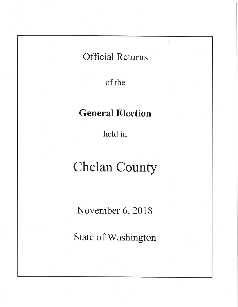# **Official Returns**

of the

# **General Election**

held in

# **Chelan County**

November 6, 2018

State of Washington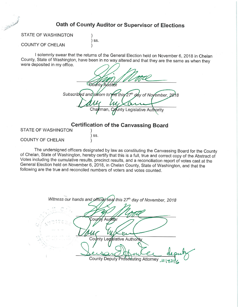# Oath of County Auditor or Supervisor of Elections

STATE OF WASHINGTON

#### **COUNTY OF CHELAN**

Call Trade

I solemnly swear that the returns of the General Election held on November 6, 2018 in Chelan County, State of Washington, have been in no way altered and that they are the same as when they were deposited in my office

| $\cup$ |  |                                        |                                                                          |
|--------|--|----------------------------------------|--------------------------------------------------------------------------|
|        |  |                                        |                                                                          |
|        |  |                                        |                                                                          |
|        |  |                                        |                                                                          |
|        |  |                                        |                                                                          |
|        |  |                                        |                                                                          |
|        |  |                                        | Subscribed and) sworn to the this 27 <sup>th</sup> day of November, 2018 |
|        |  |                                        |                                                                          |
|        |  |                                        |                                                                          |
|        |  | Chajrman, County Legislative Authority |                                                                          |
|        |  |                                        |                                                                          |

#### **Certification of the Canvassing Board**

**STATE OF WASHINGTON** 

) SS.  $\mathcal{E}$ 

) SS.

**COUNTY OF CHELAN** 

The undersigned officers designated by law as constituting the Canvassing Board for the County of Chelan, State of Washington, hereby certify that this is a full, true and correct copy of the Abstract of Votes including the cumulative results, precinct results, and a reconciliation report of votes cast at the General Election held on November 6, 2018, in Chelan County, State of Washington, and that the following are the true and reconciled numbers of voters and votes counted.

Witness our hands and official/seal this 27<sup>th</sup> day of November, 2018 Auditor County County Legislative Authority County Deputy Proseeuting Attorney #18276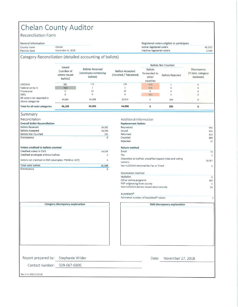# Chelan County Auditor

#### Reconciliation Form

#### General information

Chelan County name November 6, 2018 Election date

#### Registered voters eligible to participate Active registered voters Inactive registered voters

45,039

3,444

 $\Omega$ 

#### Category Reconciliation (detailed accounting of ballots)

|                                                |                                                   |                                                              |                                                  |                                                     | <b>Ballots Not Counted</b> |                                                |  |
|------------------------------------------------|---------------------------------------------------|--------------------------------------------------------------|--------------------------------------------------|-----------------------------------------------------|----------------------------|------------------------------------------------|--|
|                                                | Issued<br>(number of<br>voters issued<br>ballots) | <b>Ballots Received</b><br>(envelopes containing<br>ballots) | <b>Ballots Accepted</b><br>(Counted / Tabulated) | <b>Ballots</b><br>forwarded to<br>other<br>counties | <b>Ballots Rejected</b>    | Discrepancy<br>(If zero, category<br>balances) |  |
| <b>UOCAVA</b>                                  | 381                                               | 171                                                          | 170                                              | N/A                                                 |                            |                                                |  |
| Federal write-in                               | N/A                                               |                                                              |                                                  | N/A                                                 |                            |                                                |  |
| Provisional                                    |                                                   |                                                              | 12                                               | $\Omega$                                            | $\Omega$                   |                                                |  |
| <b>DREs</b>                                    |                                                   |                                                              |                                                  | N/A                                                 | 0                          |                                                |  |
| All voters not reported in<br>above categories | 45,802                                            | 34,198                                                       | 33,914                                           | $\circ$                                             | 284                        |                                                |  |
| <b>Total for all voter categories</b>          | 46,183                                            | 34,383                                                       | 34,098                                           | $\Omega$                                            | 285                        | $\Omega$                                       |  |

 $\overline{0}$ 

#### Summary

Discrepancy

| Reconciliation                                     |          |
|----------------------------------------------------|----------|
| <b>Overall Ballot Reconciliation</b>               |          |
| <b>Ballots Received</b>                            | 34,383   |
| <b>Ballots Accepted</b>                            | 34,098   |
| <b>Ballots Not Counted</b>                         | 285      |
| Discrepancy                                        | $\Omega$ |
| Voters credited to ballots counted                 |          |
| Credited voters in EMS                             | 34,098   |
| Credited envelopes without ballots                 |          |
|                                                    |          |
| Voters not credited in EMS (examples: FWAB or ACP) | $\cap$   |

Category discrepancy explanation

#### Additional Information

| <b>Replacement Ballots</b>                               |                |
|----------------------------------------------------------|----------------|
| Requested                                                | 945            |
| Issued                                                   | 945            |
| Returned                                                 | 826            |
| Counted                                                  | 803            |
| Rejected                                                 | 20             |
| <b>Return method</b>                                     |                |
| Email                                                    | 79             |
| Fax                                                      | $\overline{2}$ |
| Deposited at staffed, unstaffed deposit sites and voting |                |
| centers                                                  | 20,587         |
| Non-UOCAVA returned by Fax or Email                      | $\Omega$       |
| Generation method                                        |                |
| MyBallot                                                 | $\Omega$       |
| Other online programs                                    | 169            |
| PDF originating from county                              | $\Omega$       |
| Non-UOCAVA ballots issued electronically                 | 56             |
| AutoMark <sup>®</sup>                                    |                |

Estimated number of AutoMark® voters

**EMS discrepancy explanation** 

Report prepared by: Stephanie Wilder

Contact number: 509-667-6806

Date: November 27, 2018

Rev 2.41 (08/21/2018)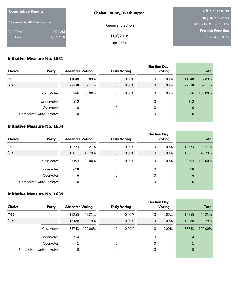| <b>Cumulative Results</b>         |            | <b>Chelan County, Washington</b> | <b>Official results</b>    |  |  |
|-----------------------------------|------------|----------------------------------|----------------------------|--|--|
|                                   |            |                                  | <b>Registered Voters</b>   |  |  |
| November 6, 2018 General Election |            | <b>General Election</b>          | 34098 of 45039 = 75.71 %   |  |  |
| Run Time                          | 10:04 AM   |                                  | <b>Precincts Reporting</b> |  |  |
| Run Date                          | 11/27/2018 | 11/6/2018                        | 0 of $94 = 0.00 %$         |  |  |
|                                   |            | Page 1 of 11                     |                            |  |  |

<u> 1989 - Johann Stoff, fransk politik (</u>

#### **Initiative Measure No. 1631**

| <b>Choice</b><br>Party     |             | <b>Absentee Voting</b> |         | <b>Early Voting</b> |       |             | <b>Election Day</b><br><b>Voting</b> | <b>Total</b> |         |
|----------------------------|-------------|------------------------|---------|---------------------|-------|-------------|--------------------------------------|--------------|---------|
| Yes                        |             | 11048                  | 32.89%  | 0                   | 0.00% | $\mathbf 0$ | 0.00%                                | 11048        | 32.89%  |
| <b>No</b>                  |             | 22538                  | 67.11%  | $\overline{0}$      | 0.00% | $\mathbf 0$ | 0.00%                                | 22538        | 67.11%  |
|                            | Cast Votes: | 33586                  | 100.00% | 0                   | 0.00% | $\mathbf 0$ | $0.00\%$                             | 33586        | 100.00% |
|                            | Undervotes: | 512                    |         | 0                   |       | $\mathbf 0$ |                                      | 512          |         |
|                            | Overvotes:  | 0                      |         | 0                   |       | $\mathbf 0$ |                                      | $\theta$     |         |
| Unresolved write-in votes: |             | 0                      |         | 0                   |       | 0           |                                      | $\mathbf 0$  |         |
|                            |             |                        |         |                     |       |             |                                      |              |         |

#### **Initiative Measure No. 1634**

| <b>Choice</b><br>Party |                            | <b>Absentee Voting</b> |         | <b>Early Voting</b> |          |             | <b>Election Day</b><br><b>Voting</b> |       |                | <b>Total</b> |  |
|------------------------|----------------------------|------------------------|---------|---------------------|----------|-------------|--------------------------------------|-------|----------------|--------------|--|
| Yes                    |                            | 19773                  | 59.21%  | 0                   | $0.00\%$ | 0           |                                      | 0.00% | 19773          | 59.21%       |  |
| <b>No</b>              |                            | 13621                  | 40.79%  | $\mathbf{0}$        | 0.00%    | $\mathbf 0$ |                                      | 0.00% | 13621          | 40.79%       |  |
|                        | Cast Votes:                | 33394                  | 100.00% | $\Omega$            | 0.00%    | $\mathbf 0$ |                                      | 0.00% | 33394          | 100.00%      |  |
|                        | Undervotes:                | 698                    |         | 0                   |          | $\mathbf 0$ |                                      |       | 698            |              |  |
|                        | Overvotes:                 | 6                      |         | $\theta$            |          | $\mathbf 0$ |                                      |       | 6              |              |  |
|                        | Unresolved write-in votes: | $\mathbf 0$            |         | 0                   |          | $\mathbf 0$ |                                      |       | $\overline{0}$ |              |  |

#### **Initiative Measure No. 1639**

| <b>Choice</b><br>Party |                            | <b>Absentee Voting</b> |         |                | <b>Early Voting</b> |  | <b>Election Day</b><br><b>Voting</b> |       |              | <b>Total</b> |  |
|------------------------|----------------------------|------------------------|---------|----------------|---------------------|--|--------------------------------------|-------|--------------|--------------|--|
| Yes                    |                            | 15255                  | 45.21%  | 0              | 0.00%               |  | 0                                    | 0.00% | 15255        | 45.21%       |  |
| <b>No</b>              |                            | 18488                  | 54.79%  | $\overline{0}$ | 0.00%               |  | $\overline{0}$                       | 0.00% | 18488        | 54.79%       |  |
|                        | Cast Votes:                | 33743                  | 100.00% | 0              | 0.00%               |  | 0                                    | 0.00% | 33743        | 100.00%      |  |
|                        | Undervotes:                | 354                    |         | $\mathbf 0$    |                     |  | 0                                    |       | 354          |              |  |
|                        | Overvotes:                 |                        |         | $\Omega$       |                     |  | $\theta$                             |       |              |              |  |
|                        | Unresolved write-in votes: | 0                      |         | $\theta$       |                     |  | $\theta$                             |       | $\mathbf{0}$ |              |  |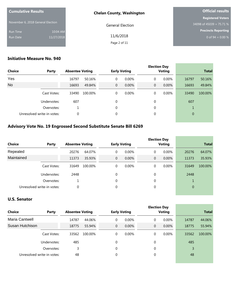| <b>Cumulative Results</b>         |            | <b>Chelan County, Washington</b> | <b>Official results</b>  |  |  |
|-----------------------------------|------------|----------------------------------|--------------------------|--|--|
|                                   |            |                                  | <b>Registered Voters</b> |  |  |
| November 6, 2018 General Election |            | <b>General Election</b>          | 34098 of 45039 = 75.71 % |  |  |
| Run Time                          | 10:04 AM   |                                  | Precincts Reporting      |  |  |
| Run Date                          | 11/27/2018 | 11/6/2018                        | 0 of $94 = 0.00 %$       |  |  |
|                                   |            | Page 2 of 11                     |                          |  |  |

#### **Initiative Measure No. 940**

| <b>Choice</b><br>Party |                            | <b>Absentee Voting</b> |         |              | <b>Early Voting</b> |             | <b>Election Day</b><br><b>Voting</b> | <b>Total</b>   |         |
|------------------------|----------------------------|------------------------|---------|--------------|---------------------|-------------|--------------------------------------|----------------|---------|
|                        |                            |                        |         |              |                     |             |                                      |                |         |
| Yes                    |                            | 16797                  | 50.16%  | 0            | $0.00\%$            | 0           | $0.00\%$                             | 16797          | 50.16%  |
| No                     |                            | 16693                  | 49.84%  | $\mathbf{0}$ | 0.00%               | $\mathbf 0$ | 0.00%                                | 16693          | 49.84%  |
|                        | Cast Votes:                | 33490                  | 100.00% | 0            | $0.00\%$            | 0           | $0.00\%$                             | 33490          | 100.00% |
|                        | Undervotes:                | 607                    |         | $\Omega$     |                     | $\theta$    |                                      | 607            |         |
|                        | Overvotes:                 |                        |         | $\Omega$     |                     | $\theta$    |                                      |                |         |
|                        | Unresolved write-in votes: | 0                      |         | $\mathbf 0$  |                     | $\mathbf 0$ |                                      | $\overline{0}$ |         |

#### **Advisory Vote No. 19 Engrossed Second Substitute Senate Bill 6269**

|                            |             |                        |         |             |                     |             | <b>Election Day</b> |                |         |
|----------------------------|-------------|------------------------|---------|-------------|---------------------|-------------|---------------------|----------------|---------|
| Choice<br>Party            |             | <b>Absentee Voting</b> |         |             | <b>Early Voting</b> |             | <b>Voting</b>       | <b>Total</b>   |         |
| Repealed                   |             | 20276                  | 64.07%  | 0           | $0.00\%$            | 0           | $0.00\%$            | 20276          | 64.07%  |
| Maintained                 |             | 11373                  | 35.93%  | $\mathbf 0$ | $0.00\%$            | $\mathbf 0$ | $0.00\%$            | 11373          | 35.93%  |
|                            | Cast Votes: | 31649                  | 100.00% | 0           | $0.00\%$            | 0           | 0.00%               | 31649          | 100.00% |
|                            | Undervotes: | 2448                   |         | 0           |                     | $\Omega$    |                     | 2448           |         |
|                            | Overvotes:  |                        |         | 0           |                     | 0           |                     |                |         |
| Unresolved write-in votes: |             | 0                      |         | 0           |                     | 0           |                     | $\overline{0}$ |         |

#### **U.S. Senator**

| <b>Choice</b>   | Party                      | <b>Absentee Voting</b> |         | <b>Early Voting</b> |          |                | <b>Election Day</b><br><b>Voting</b> | <b>Total</b> |         |
|-----------------|----------------------------|------------------------|---------|---------------------|----------|----------------|--------------------------------------|--------------|---------|
| Maria Cantwell  |                            | 14787                  | 44.06%  | 0                   | $0.00\%$ | 0              | $0.00\%$                             | 14787        | 44.06%  |
| Susan Hutchison |                            | 18775                  | 55.94%  | $\overline{0}$      | 0.00%    | $\overline{0}$ | 0.00%                                | 18775        | 55.94%  |
|                 | Cast Votes:                | 33562                  | 100.00% | 0                   | $0.00\%$ | 0              | $0.00\%$                             | 33562        | 100.00% |
|                 | Undervotes:                | 485                    |         | 0                   |          | 0              |                                      | 485          |         |
|                 | Overvotes:                 | 3                      |         | $\theta$            |          | 0              |                                      | 3            |         |
|                 | Unresolved write-in votes: | 48                     |         | $\theta$            |          | $\theta$       |                                      | 48           |         |

\_\_\_\_\_\_\_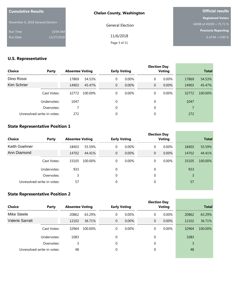| <b>Cumulative Results</b>         |            | <b>Chelan County, Washington</b> | <b>Official results</b>  |
|-----------------------------------|------------|----------------------------------|--------------------------|
|                                   |            |                                  | <b>Registered Voters</b> |
| November 6, 2018 General Election |            | <b>General Election</b>          | 34098 of 45039 = 75.71 % |
| Run Time                          | 10:04 AM   |                                  | Precincts Reporting      |
| Run Date                          | 11/27/2018 | 11/6/2018                        | 0 of $94 = 0.00 %$       |
|                                   |            | Page 3 of 11                     |                          |

## **U.S. Representative**

| <b>Choice</b>              | Party       | <b>Absentee Voting</b> |         |             | <b>Early Voting</b> |             | <b>Election Day</b><br><b>Voting</b> | <b>Total</b> |         |
|----------------------------|-------------|------------------------|---------|-------------|---------------------|-------------|--------------------------------------|--------------|---------|
| Dino Rossi                 |             | 17869                  | 54.53%  | $\mathbf 0$ | $0.00\%$            | 0           | $0.00\%$                             | 17869        | 54.53%  |
| Kim Schrier                |             | 14903                  | 45.47%  | $\mathbf 0$ | 0.00%               | $\mathbf 0$ | 0.00%                                | 14903        | 45.47%  |
|                            | Cast Votes: | 32772                  | 100.00% | 0           | $0.00\%$            | 0           | $0.00\%$                             | 32772        | 100.00% |
|                            | Undervotes: | 1047                   |         | $\mathbf 0$ |                     | $\mathbf 0$ |                                      | 1047         |         |
|                            | Overvotes:  |                        |         | $\mathbf 0$ |                     | $\mathbf 0$ |                                      | 7            |         |
| Unresolved write-in votes: |             | 272                    |         | $\mathbf 0$ |                     | $\mathbf 0$ |                                      | 272          |         |

#### **State Representative Position 1**

| Choice        | Party                      | <b>Absentee Voting</b> |         |                | <b>Early Voting</b> |                | <b>Election Day</b><br><b>Voting</b> |       | <b>Total</b> |
|---------------|----------------------------|------------------------|---------|----------------|---------------------|----------------|--------------------------------------|-------|--------------|
| Keith Goehner |                            | 18403                  | 55.59%  | 0              | $0.00\%$            | 0              | 0.00%                                | 18403 | 55.59%       |
| Ann Diamond   |                            | 14702                  | 44.41%  | $\overline{0}$ | $0.00\%$            | $\overline{0}$ | 0.00%                                | 14702 | 44.41%       |
|               | Cast Votes:                | 33105                  | 100.00% | 0              | $0.00\%$            | 0              | 0.00%                                | 33105 | 100.00%      |
|               | Undervotes:                | 933                    |         | 0              |                     | 0              |                                      | 933   |              |
|               | Overvotes:                 | 3                      |         | $\theta$       |                     | $\mathbf 0$    |                                      | 3     |              |
|               | Unresolved write-in votes: | 57                     |         | 0              |                     | 0              |                                      | 57    |              |

the control of the control of the control of

#### **State Representative Position 2**

| Choice                 | Party                      | <b>Absentee Voting</b> |         |              | <b>Early Voting</b> |                | <b>Election Day</b><br><b>Voting</b> |       | <b>Total</b> |
|------------------------|----------------------------|------------------------|---------|--------------|---------------------|----------------|--------------------------------------|-------|--------------|
| Mike Steele            |                            | 20862                  | 63.29%  | 0            | $0.00\%$            | 0              | 0.00%                                | 20862 | 63.29%       |
| <b>Valerie Sarratt</b> |                            | 12102                  | 36.71%  | $\mathbf{0}$ | 0.00%               | $\overline{0}$ | 0.00%                                | 12102 | 36.71%       |
|                        | Cast Votes:                | 32964                  | 100.00% | 0            | 0.00%               | 0              | 0.00%                                | 32964 | 100.00%      |
|                        | Undervotes:                | 1083                   |         | 0            |                     | 0              |                                      | 1083  |              |
|                        | Overvotes:                 | 3                      |         | $\theta$     |                     | $\theta$       |                                      | 3     |              |
|                        | Unresolved write-in votes: | 48                     |         | $\mathbf 0$  |                     | $\theta$       |                                      | 48    |              |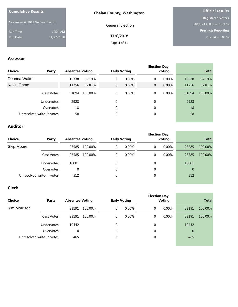| <b>Cumulative Results</b>         |            | <b>Chelan County, Washington</b> | <b>Official results</b>  |
|-----------------------------------|------------|----------------------------------|--------------------------|
|                                   |            |                                  | <b>Registered Voters</b> |
| November 6, 2018 General Election |            | <b>General Election</b>          | 34098 of 45039 = 75.71 % |
| Run Time                          | 10:04 AM   |                                  | Precincts Reporting      |
| Run Date                          | 11/27/2018 | 11/6/2018                        | 0 of $94 = 0.00 %$       |
|                                   |            | Page 4 of 11                     |                          |

 $\sim$ 

i<br>H

#### **Assessor**

| Party                      |       |         |                        |                          |                     | Voting                     |       | <b>Total</b>        |
|----------------------------|-------|---------|------------------------|--------------------------|---------------------|----------------------------|-------|---------------------|
|                            | 19338 | 62.19%  |                        |                          | 0                   | 0.00%                      | 19338 | 62.19%              |
|                            | 11756 | 37.81%  |                        |                          | 0                   | $0.00\%$                   | 11756 | 37.81%              |
| Cast Votes:                | 31094 | 100.00% |                        |                          | 0                   | 0.00%                      | 31094 | 100.00%             |
| Undervotes:                | 2928  |         | 0                      |                          | 0                   |                            | 2928  |                     |
| Overvotes:                 | 18    |         | 0                      |                          | 0                   |                            | 18    |                     |
| Unresolved write-in votes: | 58    |         | 0                      |                          | 0                   |                            | 58    |                     |
|                            |       |         | <b>Absentee Voting</b> | 0<br>$\overline{0}$<br>0 | <b>Early Voting</b> | 0.00%<br>$0.00\%$<br>0.00% |       | <b>Election Day</b> |

#### **Auditor**

| Choice            | Party                      | <b>Absentee Voting</b> |         |          | <b>Early Voting</b> |             | <b>Election Day</b><br><b>Voting</b> |                | <b>Total</b> |
|-------------------|----------------------------|------------------------|---------|----------|---------------------|-------------|--------------------------------------|----------------|--------------|
| <b>Skip Moore</b> |                            | 23585                  | 100.00% | 0        | $0.00\%$            | 0           | $0.00\%$                             | 23585          | 100.00%      |
|                   | Cast Votes:                | 23585                  | 100.00% | 0        | $0.00\%$            | 0           | $0.00\%$                             | 23585          | 100.00%      |
|                   | Undervotes:                | 10001                  |         | $\Omega$ |                     | 0           |                                      | 10001          |              |
|                   | Overvotes:                 | 0                      |         | 0        |                     | $\mathbf 0$ |                                      | $\overline{0}$ |              |
|                   | Unresolved write-in votes: | 512                    |         | 0        |                     | 0           |                                      | 512            |              |

#### **Clerk**

| <b>Choice</b> | Party                      | <b>Absentee Voting</b> |         | <b>Early Voting</b> |          | <b>Election Day</b> | Voting   |                | <b>Total</b> |
|---------------|----------------------------|------------------------|---------|---------------------|----------|---------------------|----------|----------------|--------------|
| Kim Morrison  |                            | 23191                  | 100.00% | 0                   | $0.00\%$ | 0                   | $0.00\%$ | 23191          | 100.00%      |
|               | Cast Votes:                | 23191                  | 100.00% | 0                   | $0.00\%$ | 0                   | $0.00\%$ | 23191          | 100.00%      |
|               | Undervotes:                | 10442                  |         | 0                   |          | 0                   |          | 10442          |              |
|               | Overvotes:                 | 0                      |         | 0                   |          | 0                   |          | $\overline{0}$ |              |
|               | Unresolved write-in votes: | 465                    |         | 0                   |          | 0                   |          | 465            |              |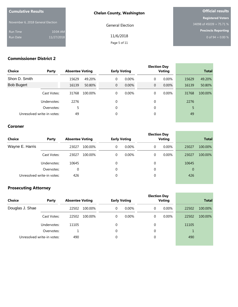| <b>Cumulative Results</b>         |            | <b>Chelan County, Washington</b> | <b>Official results</b>    |
|-----------------------------------|------------|----------------------------------|----------------------------|
|                                   |            |                                  | <b>Registered Voters</b>   |
| November 6, 2018 General Election |            | <b>General Election</b>          | 34098 of 45039 = 75.71 %   |
| Run Time                          | 10:04 AM   |                                  | <b>Precincts Reporting</b> |
| Run Date                          | 11/27/2018 | 11/6/2018                        | 0 of $94 = 0.00 %$         |
|                                   |            | Page 5 of 11                     |                            |

#### **Commissioner District 2**

| <b>Choice</b>              | Party       | <b>Absentee Voting</b> |         |                | <b>Early Voting</b> |                | <b>Election Day</b><br><b>Voting</b> |       | <b>Total</b> |
|----------------------------|-------------|------------------------|---------|----------------|---------------------|----------------|--------------------------------------|-------|--------------|
| Shon D. Smith              |             | 15629                  | 49.20%  | 0              | $0.00\%$            | 0              | $0.00\%$                             | 15629 | 49.20%       |
| <b>Bob Bugert</b>          |             | 16139                  | 50.80%  | $\overline{0}$ | 0.00%               | $\overline{0}$ | 0.00%                                | 16139 | 50.80%       |
|                            | Cast Votes: | 31768                  | 100.00% | 0              | $0.00\%$            | 0              | $0.00\%$                             | 31768 | 100.00%      |
|                            | Undervotes: | 2276                   |         | 0              |                     | $\mathbf 0$    |                                      | 2276  |              |
|                            | Overvotes:  | 5                      |         | 0              |                     | 0              |                                      | 5     |              |
| Unresolved write-in votes: |             | 49                     |         | 0              |                     | 0              |                                      | 49    |              |

#### **Coroner**

| <b>Choice</b>   | Party                      | <b>Absentee Voting</b> |         |          | <b>Early Voting</b> | <b>Election Day</b> | <b>Voting</b> |                | <b>Total</b> |
|-----------------|----------------------------|------------------------|---------|----------|---------------------|---------------------|---------------|----------------|--------------|
| Wayne E. Harris |                            | 23027                  | 100.00% | $\Omega$ | $0.00\%$            | 0                   | $0.00\%$      | 23027          | 100.00%      |
|                 | Cast Votes:                | 23027                  | 100.00% | 0        | $0.00\%$            | 0                   | $0.00\%$      | 23027          | 100.00%      |
|                 | Undervotes:                | 10645                  |         | 0        |                     | $\Omega$            |               | 10645          |              |
|                 | Overvotes:                 | 0                      |         | 0        |                     | 0                   |               | $\overline{0}$ |              |
|                 | Unresolved write-in votes: | 426                    |         | 0        |                     | $\mathbf 0$         |               | 426            |              |

a.

and the control of the control of the control of

## **Prosecuting Attorney**

| <b>Choice</b>   | Party                      | <b>Absentee Voting</b> |         | <b>Early Voting</b> |          |   | <b>Election Day</b><br>Voting | <b>Total</b> |         |
|-----------------|----------------------------|------------------------|---------|---------------------|----------|---|-------------------------------|--------------|---------|
| Douglas J. Shae |                            | 22502                  | 100.00% | 0                   | $0.00\%$ | 0 | $0.00\%$                      | 22502        | 100.00% |
|                 | Cast Votes:                | 22502                  | 100.00% | 0                   | 0.00%    | 0 | $0.00\%$                      | 22502        | 100.00% |
|                 | Undervotes:                | 11105                  |         | 0                   |          | 0 |                               | 11105        |         |
|                 | Overvotes:                 |                        |         | 0                   |          | 0 |                               |              |         |
|                 | Unresolved write-in votes: | 490                    |         | 0                   |          | 0 |                               | 490          |         |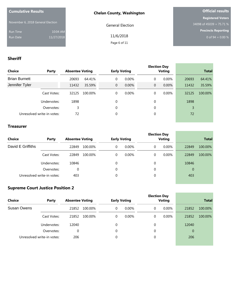| <b>Cumulative Results</b>         |            | <b>Chelan County, Washington</b> | <b>Official results</b>    |  |  |
|-----------------------------------|------------|----------------------------------|----------------------------|--|--|
|                                   |            |                                  | <b>Registered Voters</b>   |  |  |
| November 6, 2018 General Election |            | <b>General Election</b>          | 34098 of 45039 = 75.71 %   |  |  |
| Run Time                          | 10:04 AM   |                                  | <b>Precincts Reporting</b> |  |  |
| Run Date                          | 11/27/2018 | 11/6/2018                        | 0 of $94 = 0.00 %$         |  |  |
|                                   |            | Page 6 of 11                     |                            |  |  |

#### **Sheriff**

| <b>Choice</b>        | Party                      | <b>Absentee Voting</b> |         |                | <b>Early Voting</b> |                | <b>Election Day</b><br>Voting |       | <b>Total</b> |
|----------------------|----------------------------|------------------------|---------|----------------|---------------------|----------------|-------------------------------|-------|--------------|
| <b>Brian Burnett</b> |                            | 20693                  | 64.41%  | 0              | $0.00\%$            | 0              | $0.00\%$                      | 20693 | 64.41%       |
| Jennifer Tyler       |                            | 11432                  | 35.59%  | $\overline{0}$ | 0.00%               | $\overline{0}$ | 0.00%                         | 11432 | 35.59%       |
|                      | Cast Votes:                | 32125                  | 100.00% | 0              | $0.00\%$            | 0              | $0.00\%$                      | 32125 | 100.00%      |
|                      | Undervotes:                | 1898                   |         | $\theta$       |                     | 0              |                               | 1898  |              |
|                      | Overvotes:                 | 3                      |         | $\theta$       |                     | 0              |                               | 3     |              |
|                      | Unresolved write-in votes: | 72                     |         | 0              |                     | 0              |                               | 72    |              |

#### **Treasurer**

| <b>Choice</b>     | Party                      | <b>Absentee Voting</b> |         |          | <b>Early Voting</b> | <b>Election Day</b> | <b>Voting</b> |                | <b>Total</b> |
|-------------------|----------------------------|------------------------|---------|----------|---------------------|---------------------|---------------|----------------|--------------|
| David E Griffiths |                            | 22849                  | 100.00% | 0        | $0.00\%$            | 0                   | 0.00%         | 22849          | 100.00%      |
|                   | Cast Votes:                | 22849                  | 100.00% | 0        | $0.00\%$            | 0                   | 0.00%         | 22849          | 100.00%      |
|                   | Undervotes:                | 10846                  |         | $\theta$ |                     | $\theta$            |               | 10846          |              |
|                   | Overvotes:                 | 0                      |         | 0        |                     | $\mathbf 0$         |               | $\overline{0}$ |              |
|                   | Unresolved write-in votes: | 403                    |         | 0        |                     | 0                   |               | 403            |              |

## **Supreme Court Justice Position 2**

|             |                            |                        |         |   | <b>Election Day</b> |  |   |               |                |         |
|-------------|----------------------------|------------------------|---------|---|---------------------|--|---|---------------|----------------|---------|
| Choice      | Party                      | <b>Absentee Voting</b> |         |   | <b>Early Voting</b> |  |   | <b>Voting</b> | <b>Total</b>   |         |
| Susan Owens |                            | 21852                  | 100.00% | 0 | $0.00\%$            |  | 0 | $0.00\%$      | 21852          | 100.00% |
|             | Cast Votes:                | 21852                  | 100.00% | 0 | $0.00\%$            |  | 0 | $0.00\%$      | 21852          | 100.00% |
|             | Undervotes:                | 12040                  |         | 0 |                     |  | 0 |               | 12040          |         |
|             | Overvotes:                 | 0                      |         | 0 |                     |  | 0 |               | $\overline{0}$ |         |
|             | Unresolved write-in votes: | 206                    |         | 0 |                     |  | 0 |               | 206            |         |
|             |                            |                        |         |   |                     |  |   |               |                |         |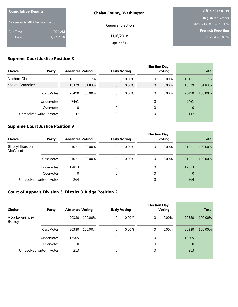| <b>Cumulative Results</b>         |            | <b>Chelan County, Washington</b> | <b>Official results</b>    |
|-----------------------------------|------------|----------------------------------|----------------------------|
|                                   |            |                                  | <b>Registered Voters</b>   |
| November 6, 2018 General Election |            | <b>General Election</b>          | 34098 of 45039 = 75.71 %   |
| Run Time                          | 10:04 AM   |                                  | <b>Precincts Reporting</b> |
| Run Date                          | 11/27/2018 | 11/6/2018                        | 0 of $94 = 0.00 %$         |
|                                   |            | Page 7 of 11                     |                            |

## **Supreme Court Justice Position 8**

| <b>Choice</b>  | Party                      | <b>Absentee Voting</b> |         |                | <b>Early Voting</b> |             | <b>Election Day</b><br><b>Voting</b> |       | <b>Total</b> |
|----------------|----------------------------|------------------------|---------|----------------|---------------------|-------------|--------------------------------------|-------|--------------|
| Nathan Choi    |                            | 10111                  | 38.17%  | 0              | $0.00\%$            | $\mathbf 0$ | $0.00\%$                             | 10111 | 38.17%       |
| Steve Gonzalez |                            | 16379                  | 61.83%  | $\overline{0}$ | 0.00%               | $\mathbf 0$ | $0.00\%$                             | 16379 | 61.83%       |
|                | Cast Votes:                | 26490                  | 100.00% | 0              | $0.00\%$            | 0           | $0.00\%$                             | 26490 | 100.00%      |
|                | Undervotes:                | 7461                   |         | $\theta$       |                     | $\Omega$    |                                      | 7461  |              |
|                | Overvotes:                 | 0                      |         | $\Omega$       |                     | $\Omega$    |                                      | 0     |              |
|                | Unresolved write-in votes: | 147                    |         | 0              |                     | 0           |                                      | 147   |              |

#### **Supreme Court Justice Position 9**

| Choice                          | Party                      | <b>Absentee Voting</b> |         | <b>Early Voting</b> |          |             | <b>Election Day</b><br><b>Voting</b> | <b>Total</b>   |         |  |
|---------------------------------|----------------------------|------------------------|---------|---------------------|----------|-------------|--------------------------------------|----------------|---------|--|
| Sheryl Gordon<br><b>McCloud</b> |                            | 21021                  | 100.00% | 0                   | $0.00\%$ | 0           | 0.00%                                | 21021          | 100.00% |  |
|                                 | Cast Votes:                | 21021                  | 100.00% | 0                   | $0.00\%$ | 0           | 0.00%                                | 21021          | 100.00% |  |
|                                 | Undervotes:                | 12813                  |         | 0                   |          | 0           |                                      | 12813          |         |  |
|                                 | Overvotes:                 | 0                      |         | 0                   |          | $\mathbf 0$ |                                      | $\overline{0}$ |         |  |
|                                 | Unresolved write-in votes: | 264                    |         | 0                   |          | $\mathbf 0$ |                                      | 264            |         |  |

the control of the control of the control of

÷.

#### **Court of Appeals Division 3, District 3 Judge Position 2**

| <b>Choice</b>                  | Party                      | <b>Absentee Voting</b> |         |             | <b>Early Voting</b> |  | <b>Election Day</b><br><b>Voting</b> |          |                | <b>Total</b> |
|--------------------------------|----------------------------|------------------------|---------|-------------|---------------------|--|--------------------------------------|----------|----------------|--------------|
| Rob Lawrence-<br><b>Berrey</b> |                            | 20380                  | 100.00% | 0           | $0.00\%$            |  | 0                                    | $0.00\%$ | 20380          | 100.00%      |
|                                | Cast Votes:                | 20380                  | 100.00% | 0           | $0.00\%$            |  | 0                                    | $0.00\%$ | 20380          | 100.00%      |
|                                | Undervotes:                | 13505                  |         | $\mathbf 0$ |                     |  | 0                                    |          | 13505          |              |
|                                | Overvotes:                 | 0                      |         | $\theta$    |                     |  | 0                                    |          | $\overline{0}$ |              |
|                                | Unresolved write-in votes: | 213                    |         | 0           |                     |  | 0                                    |          | 213            |              |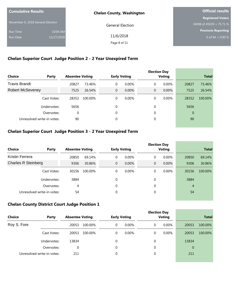| <b>Cumulative Results</b>         |            | <b>Chelan County, Washington</b> | <b>Official results</b>  |
|-----------------------------------|------------|----------------------------------|--------------------------|
|                                   |            |                                  | <b>Registered Voters</b> |
| November 6, 2018 General Election |            | <b>General Election</b>          | 34098 of 45039 = 75.71 % |
| <b>Run Time</b>                   | 10:04 AM   |                                  | Precincts Reporting      |
| <b>Run Date</b>                   | 11/27/2018 | 11/6/2018                        | 0 of 94 = $0.00\%$       |
|                                   |            | Page 8 of 11                     |                          |

## **Chelan Superior Court Judge Position 2 - 2 Year Unexpired Term**

| Choice                     | Party       | <b>Absentee Voting</b> |         |              | <b>Early Voting</b> |                | <b>Election Day</b><br>Voting |                | <b>Total</b> |
|----------------------------|-------------|------------------------|---------|--------------|---------------------|----------------|-------------------------------|----------------|--------------|
| <b>Travis Brandt</b>       |             | 20827                  | 73.46%  | 0            | $0.00\%$            | 0              | $0.00\%$                      | 20827          | 73.46%       |
| <b>Robert McSeveney</b>    |             | 7525                   | 26.54%  | $\mathbf{0}$ | 0.00%               | $\overline{0}$ | $0.00\%$                      | 7525           | 26.54%       |
|                            | Cast Votes: | 28352                  | 100.00% | 0            | $0.00\%$            | 0              | $0.00\%$                      | 28352          | 100.00%      |
|                            | Undervotes: | 5656                   |         | 0            |                     | 0              |                               | 5656           |              |
|                            | Overvotes:  | 0                      |         | 0            |                     | 0              |                               | $\overline{0}$ |              |
| Unresolved write-in votes: |             | 90                     |         | 0            |                     | 0              |                               | 90             |              |
|                            |             |                        |         |              |                     |                |                               |                |              |

## **Chelan Superior Court Judge Position 3 - 2 Year Unexpired Term**

|                            |             |                        |         |                |                     |              | <b>Election Day</b> |          |                |              |
|----------------------------|-------------|------------------------|---------|----------------|---------------------|--------------|---------------------|----------|----------------|--------------|
| Choice                     | Party       | <b>Absentee Voting</b> |         |                | <b>Early Voting</b> |              | Voting              |          |                | <b>Total</b> |
| Kristin Ferrera            |             | 20850                  | 69.14%  | 0              | $0.00\%$            | 0            |                     | 0.00%    | 20850          | 69.14%       |
| <b>Charles R Steinberg</b> |             | 9306                   | 30.86%  | $\overline{0}$ | $0.00\%$            | $\mathbf{0}$ |                     | $0.00\%$ | 9306           | 30.86%       |
|                            | Cast Votes: | 30156                  | 100.00% | 0              | $0.00\%$            | 0            |                     | 0.00%    | 30156          | 100.00%      |
|                            | Undervotes: | 3884                   |         | 0              |                     | $\theta$     |                     |          | 3884           |              |
|                            | Overvotes:  | 4                      |         | 0              |                     | 0            |                     |          | $\overline{4}$ |              |
| Unresolved write-in votes: |             | 54                     |         | 0              |                     | 0            |                     |          | 54             |              |

#### **Chelan County District Court Judge Position 1**

| <b>Choice</b> | Party                      | <b>Absentee Voting</b> |         |             | <b>Early Voting</b> |  |   | <b>Election Day</b><br><b>Voting</b> | <b>Total</b> |         |  |
|---------------|----------------------------|------------------------|---------|-------------|---------------------|--|---|--------------------------------------|--------------|---------|--|
| Roy S. Fore   |                            | 20053                  | 100.00% | 0           | $0.00\%$            |  | 0 | $0.00\%$                             | 20053        | 100.00% |  |
|               | Cast Votes:                | 20053                  | 100.00% | 0           | $0.00\%$            |  | 0 | $0.00\%$                             | 20053        | 100.00% |  |
|               | Undervotes:                | 13834                  |         | 0           |                     |  | 0 |                                      | 13834        |         |  |
|               | Overvotes:                 | 0                      |         | $\mathbf 0$ |                     |  | 0 |                                      | $\mathbf{0}$ |         |  |
|               | Unresolved write-in votes: | 211                    |         | 0           |                     |  | 0 |                                      | 211          |         |  |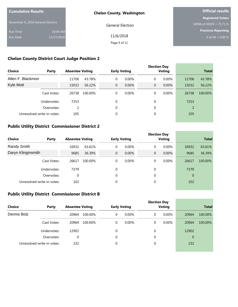| <b>Cumulative Results</b>         |            | <b>Chelan County, Washington</b> | <b>Official results</b>    |  |  |
|-----------------------------------|------------|----------------------------------|----------------------------|--|--|
|                                   |            |                                  | <b>Registered Voters</b>   |  |  |
| November 6, 2018 General Election |            | <b>General Election</b>          | 34098 of 45039 = 75.71 %   |  |  |
| <b>Run Time</b>                   | 10:04 AM   |                                  | <b>Precincts Reporting</b> |  |  |
| <b>Run Date</b>                   | 11/27/2018 | 11/6/2018                        | 0 of $94 = 0.00 %$         |  |  |
|                                   |            | Page 9 of 11                     |                            |  |  |

## **Chelan County District Court Judge Position 2**

| <b>Choice</b><br>Party     |             | <b>Absentee Voting</b> |         |                | <b>Early Voting</b> |                | <b>Election Day</b><br><b>Voting</b> | <b>Total</b>   |         |
|----------------------------|-------------|------------------------|---------|----------------|---------------------|----------------|--------------------------------------|----------------|---------|
| Allen F. Blackmon          |             | 11706                  | 43.78%  | 0              | 0.00%               | 0              | 0.00%                                | 11706          | 43.78%  |
| Kyle Mott                  |             | 15032                  | 56.22%  | $\overline{0}$ | 0.00%               | $\overline{0}$ | $0.00\%$                             | 15032          | 56.22%  |
|                            | Cast Votes: | 26738                  | 100.00% | 0              | $0.00\%$            | 0              | $0.00\%$                             | 26738          | 100.00% |
|                            | Undervotes: | 7253                   |         | 0              |                     | $\theta$       |                                      | 7253           |         |
|                            | Overvotes:  | $\mathcal{P}$          |         | 0              |                     | 0              |                                      | $\overline{2}$ |         |
| Unresolved write-in votes: |             | 105                    |         | 0              |                     | 0              |                                      | 105            |         |

#### **Public Utility District Commissioner District 2**

| Choice                     | Party       |       | <b>Absentee Voting</b> |                | <b>Early Voting</b> |              | <b>Election Day</b><br>Voting |                | <b>Total</b> |
|----------------------------|-------------|-------|------------------------|----------------|---------------------|--------------|-------------------------------|----------------|--------------|
| Randy Smith                |             | 16932 | 63.61%                 | 0              | $0.00\%$            | $\mathbf 0$  | 0.00%                         | 16932          | 63.61%       |
| Daryn Klinginsmith         |             | 9685  | 36.39%                 | $\overline{0}$ | 0.00%               | $\mathbf{0}$ | 0.00%                         | 9685           | 36.39%       |
|                            | Cast Votes: | 26617 | 100.00%                | 0              | $0.00\%$            | 0            | 0.00%                         | 26617          | 100.00%      |
|                            | Undervotes: | 7379  |                        | 0              |                     | $\mathbf 0$  |                               | 7379           |              |
|                            | Overvotes:  | 0     |                        | 0              |                     | $\mathbf 0$  |                               | $\overline{0}$ |              |
| Unresolved write-in votes: |             | 102   |                        | 0              |                     | 0            |                               | 102            |              |

the control of the control of the control of

and the control of the control of the control of the control of the control of the control of the control of the

#### **Public Utility District Commissioner District B**

|             |                            |                        |         |                     | <b>Election Day</b> |        |   |          |                |         |
|-------------|----------------------------|------------------------|---------|---------------------|---------------------|--------|---|----------|----------------|---------|
| Choice      | Party                      | <b>Absentee Voting</b> |         | <b>Early Voting</b> |                     | Voting |   |          | <b>Total</b>   |         |
| Dennis Bolz |                            | 20964                  | 100.00% | 0                   | $0.00\%$            |        | 0 | $0.00\%$ | 20964          | 100.00% |
|             | Cast Votes:                | 20964                  | 100.00% | 0                   | $0.00\%$            |        | 0 | 0.00%    | 20964          | 100.00% |
|             | Undervotes:                | 12902                  |         | 0                   |                     |        | 0 |          | 12902          |         |
|             | Overvotes:                 | 0                      |         | $\theta$            |                     |        | 0 |          | $\overline{0}$ |         |
|             | Unresolved write-in votes: | 232                    |         | 0                   |                     |        | 0 |          | 232            |         |
|             |                            |                        |         |                     |                     |        |   |          |                |         |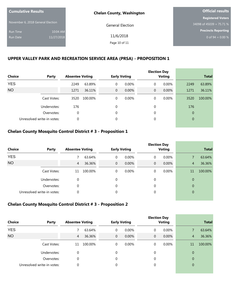| <b>Cumulative Results</b>         |            | <b>Chelan County, Washington</b> | <b>Official results</b>    |  |  |
|-----------------------------------|------------|----------------------------------|----------------------------|--|--|
|                                   |            |                                  | <b>Registered Voters</b>   |  |  |
| November 6, 2018 General Election |            | <b>General Election</b>          | 34098 of 45039 = 75.71 %   |  |  |
| <b>Run Time</b>                   | 10:04 AM   |                                  | <b>Precincts Reporting</b> |  |  |
| <b>Run Date</b>                   | 11/27/2018 | 11/6/2018                        | 0 of 94 = $0.00\%$         |  |  |
|                                   |            | Page 10 of 11                    |                            |  |  |
|                                   |            |                                  |                            |  |  |

#### **UPPER VALLEY PARK AND RECREATION SERVICE AREA (PRSA) - PROPOSITION 1**

| <b>Choice</b><br>Party |                            | <b>Absentee Voting</b> |         |                | <b>Early Voting</b> |                | <b>Election Day</b><br><b>Voting</b> |                | <b>Total</b> |
|------------------------|----------------------------|------------------------|---------|----------------|---------------------|----------------|--------------------------------------|----------------|--------------|
| <b>YES</b>             |                            | 2249                   | 63.89%  | 0              | 0.00%               | 0              | 0.00%                                | 2249           | 63.89%       |
| <b>NO</b>              |                            | 1271                   | 36.11%  | $\overline{0}$ | 0.00%               | $\overline{0}$ | 0.00%                                | 1271           | 36.11%       |
|                        | Cast Votes:                | 3520                   | 100.00% | 0              | 0.00%               | 0              | 0.00%                                | 3520           | 100.00%      |
|                        | Undervotes:                | 176                    |         | $\Omega$       |                     | $\Omega$       |                                      | 176            |              |
|                        | Overvotes:                 | 0                      |         | $\Omega$       |                     | $\Omega$       |                                      | $\overline{0}$ |              |
|                        | Unresolved write-in votes: | $\theta$               |         | $\theta$       |                     | $\Omega$       |                                      | $\overline{0}$ |              |

#### **Chelan County Mosquito Control District # 3 - Proposition 1**

|               |                            |                        |         |              |                     |             | <b>Election Day</b> |                |         |
|---------------|----------------------------|------------------------|---------|--------------|---------------------|-------------|---------------------|----------------|---------|
| <b>Choice</b> | Party                      | <b>Absentee Voting</b> |         |              | <b>Early Voting</b> |             | <b>Voting</b>       | <b>Total</b>   |         |
| <b>YES</b>    |                            |                        | 63.64%  | 0            | $0.00\%$            | 0           | 0.00%               |                | 63.64%  |
| <b>NO</b>     |                            | 4                      | 36.36%  | $\mathbf{0}$ | $0.00\%$            | $\mathbf 0$ | 0.00%               | $\overline{4}$ | 36.36%  |
|               | Cast Votes:                | 11                     | 100.00% | 0            | $0.00\%$            | 0           | 0.00%               | 11             | 100.00% |
|               | Undervotes:                | 0                      |         | $\Omega$     |                     | $\theta$    |                     | $\Omega$       |         |
|               | Overvotes:                 | 0                      |         | 0            |                     | 0           |                     | $\overline{0}$ |         |
|               | Unresolved write-in votes: | 0                      |         | 0            |                     | 0           |                     | $\overline{0}$ |         |

#### **Chelan County Mosquito Control District # 3 - Proposition 2**

|                            |             |                        |         |             |                     |             | <b>Election Day</b> |                |              |
|----------------------------|-------------|------------------------|---------|-------------|---------------------|-------------|---------------------|----------------|--------------|
| <b>Choice</b>              | Party       | <b>Absentee Voting</b> |         |             | <b>Early Voting</b> |             | <b>Voting</b>       |                | <b>Total</b> |
| <b>YES</b>                 |             |                        | 63.64%  | $\mathbf 0$ | $0.00\%$            | 0           | $0.00\%$            |                | 63.64%       |
| <b>NO</b>                  |             | $\overline{4}$         | 36.36%  | $\mathbf 0$ | $0.00\%$            | $\mathbf 0$ | 0.00%               | $\overline{4}$ | 36.36%       |
|                            | Cast Votes: | 11                     | 100.00% | 0           | 0.00%               | 0           | 0.00%               | 11             | 100.00%      |
|                            | Undervotes: | 0                      |         | $\Omega$    |                     | 0           |                     | $\overline{0}$ |              |
|                            | Overvotes:  | 0                      |         | $\theta$    |                     | 0           |                     | $\overline{0}$ |              |
| Unresolved write-in votes: |             | 0                      |         | 0           |                     | 0           |                     | $\overline{0}$ |              |